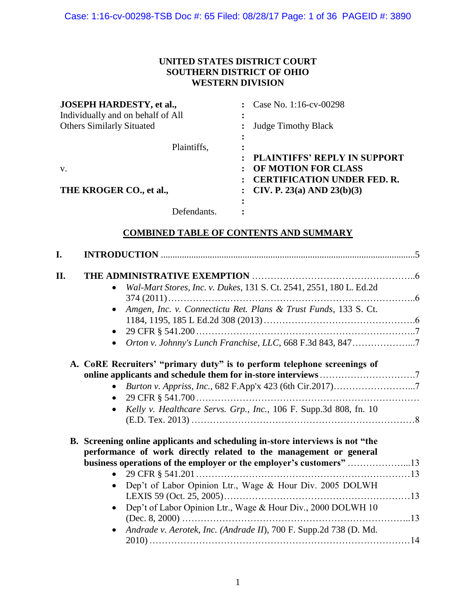## **UNITED STATES DISTRICT COURT SOUTHERN DISTRICT OF OHIO WESTERN DIVISION**

| <b>JOSEPH HARDESTY, et al.,</b>   | : Case No. 1:16-cv-00298            |
|-----------------------------------|-------------------------------------|
| Individually and on behalf of All |                                     |
| <b>Others Similarly Situated</b>  | : Judge Timothy Black               |
|                                   |                                     |
| Plaintiffs,                       | ٠                                   |
|                                   | <b>PLAINTIFFS' REPLY IN SUPPORT</b> |
| V.                                | OF MOTION FOR CLASS                 |
|                                   | <b>CERTIFICATION UNDER FED. R.</b>  |
| THE KROGER CO., et al.,           | : CIV. P. 23(a) AND 23(b)(3)        |
|                                   |                                     |
| Defendants.                       |                                     |

## **COMBINED TABLE OF CONTENTS AND SUMMARY**

| I. |                                                                                                                                                                                                                          |  |
|----|--------------------------------------------------------------------------------------------------------------------------------------------------------------------------------------------------------------------------|--|
| Π. |                                                                                                                                                                                                                          |  |
|    | Wal-Mart Stores, Inc. v. Dukes, 131 S. Ct. 2541, 2551, 180 L. Ed.2d                                                                                                                                                      |  |
|    | Amgen, Inc. v. Connectictu Ret. Plans & Trust Funds, 133 S. Ct.                                                                                                                                                          |  |
|    | $\bullet$                                                                                                                                                                                                                |  |
|    | Orton v. Johnny's Lunch Franchise, LLC, 668 F.3d 843, 8477                                                                                                                                                               |  |
|    | A. CoRE Recruiters' "primary duty" is to perform telephone screenings of                                                                                                                                                 |  |
|    | Burton v. Appriss, Inc., 682 F.App'x 423 (6th Cir.2017)7<br>$\bullet$                                                                                                                                                    |  |
|    | $\bullet$                                                                                                                                                                                                                |  |
|    | Kelly v. Healthcare Servs. Grp., Inc., 106 F. Supp.3d 808, fn. 10                                                                                                                                                        |  |
|    | B. Screening online applicants and scheduling in-store interviews is not "the<br>performance of work directly related to the management or general<br>business operations of the employer or the employer's customers"13 |  |
|    |                                                                                                                                                                                                                          |  |
|    | Dep't of Labor Opinion Ltr., Wage & Hour Div. 2005 DOLWH<br>$\bullet$                                                                                                                                                    |  |
|    | Dep't of Labor Opinion Ltr., Wage & Hour Div., 2000 DOLWH 10                                                                                                                                                             |  |
|    | Andrade v. Aerotek, Inc. (Andrade II), 700 F. Supp.2d 738 (D. Md.                                                                                                                                                        |  |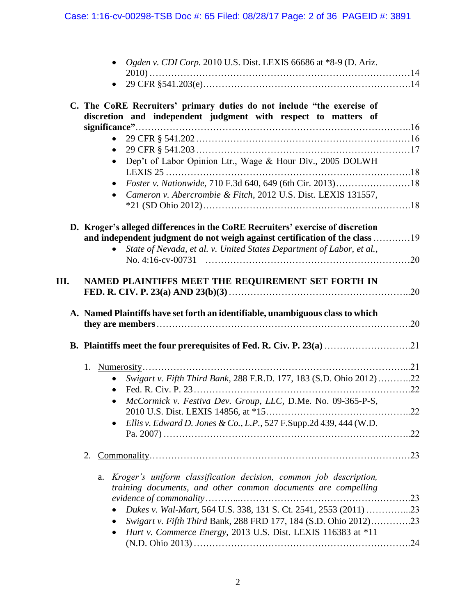|      | • Ogden v. CDI Corp. 2010 U.S. Dist. LEXIS 66686 at $*8-9$ (D. Ariz.                                                                                          |  |
|------|---------------------------------------------------------------------------------------------------------------------------------------------------------------|--|
|      |                                                                                                                                                               |  |
|      | C. The CoRE Recruiters' primary duties do not include "the exercise of<br>discretion and independent judgment with respect to matters of                      |  |
|      | $\bullet$                                                                                                                                                     |  |
|      |                                                                                                                                                               |  |
|      | Dep't of Labor Opinion Ltr., Wage & Hour Div., 2005 DOLWH                                                                                                     |  |
|      |                                                                                                                                                               |  |
|      | Cameron v. Abercrombie & Fitch, 2012 U.S. Dist. LEXIS 131557,                                                                                                 |  |
|      | D. Kroger's alleged differences in the CoRE Recruiters' exercise of discretion<br>and independent judgment do not weigh against certification of the class 19 |  |
|      | State of Nevada, et al. v. United States Department of Labor, et al.,<br>$\bullet$                                                                            |  |
|      |                                                                                                                                                               |  |
| III. | NAMED PLAINTIFFS MEET THE REQUIREMENT SET FORTH IN                                                                                                            |  |
|      | A. Named Plaintiffs have set forth an identifiable, unambiguous class to which                                                                                |  |
|      |                                                                                                                                                               |  |
|      |                                                                                                                                                               |  |
|      | 1.<br>Swigart v. Fifth Third Bank, 288 F.R.D. 177, 183 (S.D. Ohio 2012)22<br>$\bullet$                                                                        |  |
|      | $\bullet$                                                                                                                                                     |  |
|      | McCormick v. Festiva Dev. Group, LLC, D.Me. No. 09-365-P-S,                                                                                                   |  |
|      |                                                                                                                                                               |  |
|      | Ellis v. Edward D. Jones & Co., L.P., 527 F.Supp.2d 439, 444 (W.D.                                                                                            |  |
|      | 2.                                                                                                                                                            |  |
|      | Kroger's uniform classification decision, common job description,<br>a.<br>training documents, and other common documents are compelling                      |  |
|      | Dukes v. Wal-Mart, 564 U.S. 338, 131 S. Ct. 2541, 2553 (2011) 23                                                                                              |  |
|      | Swigart v. Fifth Third Bank, 288 FRD 177, 184 (S.D. Ohio 2012)23<br>Hurt v. Commerce Energy, 2013 U.S. Dist. LEXIS 116383 at *11                              |  |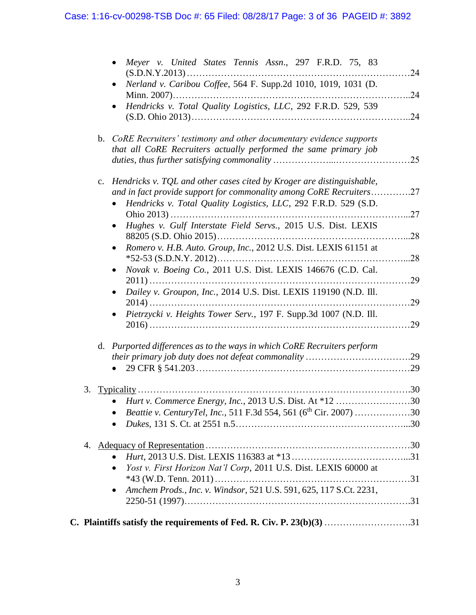|    |    | Meyer v. United States Tennis Assn., 297 F.R.D. 75, 83                                                                                    | .24 |
|----|----|-------------------------------------------------------------------------------------------------------------------------------------------|-----|
|    |    | Nerland v. Caribou Coffee, 564 F. Supp.2d 1010, 1019, 1031 (D.                                                                            |     |
|    |    |                                                                                                                                           | .24 |
|    |    | Hendricks v. Total Quality Logistics, LLC, 292 F.R.D. 529, 539                                                                            | .24 |
|    |    | b. CoRE Recruiters' testimony and other documentary evidence supports<br>that all CoRE Recruiters actually performed the same primary job | .25 |
|    | c. | Hendricks v. TQL and other cases cited by Kroger are distinguishable,                                                                     |     |
|    |    | and in fact provide support for commonality among CoRE Recruiters27                                                                       |     |
|    |    | Hendricks v. Total Quality Logistics, LLC, 292 F.R.D. 529 (S.D.                                                                           | 27  |
|    |    | Hughes v. Gulf Interstate Field Servs., 2015 U.S. Dist. LEXIS                                                                             | .28 |
|    |    | Romero v. H.B. Auto. Group, Inc., 2012 U.S. Dist. LEXIS 61151 at                                                                          | .28 |
|    |    | Novak v. Boeing Co., 2011 U.S. Dist. LEXIS 146676 (C.D. Cal.                                                                              |     |
|    |    |                                                                                                                                           | .29 |
|    |    | Dailey v. Groupon, Inc., 2014 U.S. Dist. LEXIS 119190 (N.D. Ill.                                                                          | 29  |
|    |    | Pietrzycki v. Heights Tower Serv., 197 F. Supp.3d 1007 (N.D. Ill.                                                                         | .29 |
|    |    |                                                                                                                                           |     |
|    |    | d. Purported differences as to the ways in which CoRE Recruiters perform                                                                  |     |
|    |    |                                                                                                                                           |     |
|    |    |                                                                                                                                           |     |
| 3. |    | Typicality.                                                                                                                               |     |
|    |    | Hurt v. Commerce Energy, Inc., 2013 U.S. Dist. At *12                                                                                     | .30 |
|    |    | <i>Beattie v. CenturyTel, Inc., 511 F.3d 554, 561 (6<sup>th</sup> Cir. 2007) 30</i><br>$\bullet$                                          |     |
|    |    | $\bullet$                                                                                                                                 |     |
|    |    |                                                                                                                                           |     |
|    |    |                                                                                                                                           |     |
|    |    | Yost v. First Horizon Nat'l Corp, 2011 U.S. Dist. LEXIS 60000 at                                                                          |     |
|    |    |                                                                                                                                           |     |
|    |    | Amchem Prods., Inc. v. Windsor, 521 U.S. 591, 625, 117 S.Ct. 2231,                                                                        |     |
|    |    |                                                                                                                                           |     |
|    |    | C. Plaintiffs satisfy the requirements of Fed. R. Civ. P. 23(b)(3) 31                                                                     |     |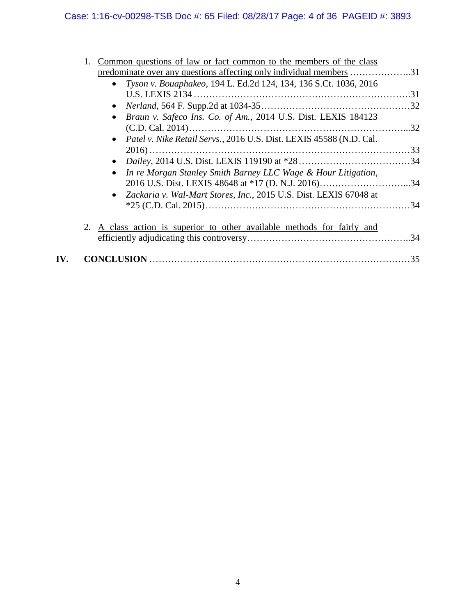# Case: 1:16-cv-00298-TSB Doc #: 65 Filed: 08/28/17 Page: 4 of 36 PAGEID #: 3893

| Common questions of law or fact common to the members of the class      |     |
|-------------------------------------------------------------------------|-----|
|                                                                         |     |
| • Tyson v. Bouaphakeo, 194 L. Ed.2d 124, 134, 136 S.Ct. 1036, 2016      |     |
|                                                                         |     |
|                                                                         |     |
| Braun v. Safeco Ins. Co. of Am., 2014 U.S. Dist. LEXIS 184123           |     |
|                                                                         |     |
| • Patel v. Nike Retail Servs., 2016 U.S. Dist. LEXIS 45588 (N.D. Cal.   |     |
|                                                                         |     |
| In re Morgan Stanley Smith Barney LLC Wage & Hour Litigation,           |     |
| • Zackaria v. Wal-Mart Stores, Inc., 2015 U.S. Dist. LEXIS 67048 at     |     |
| 2. A class action is superior to other available methods for fairly and |     |
|                                                                         |     |
|                                                                         | .35 |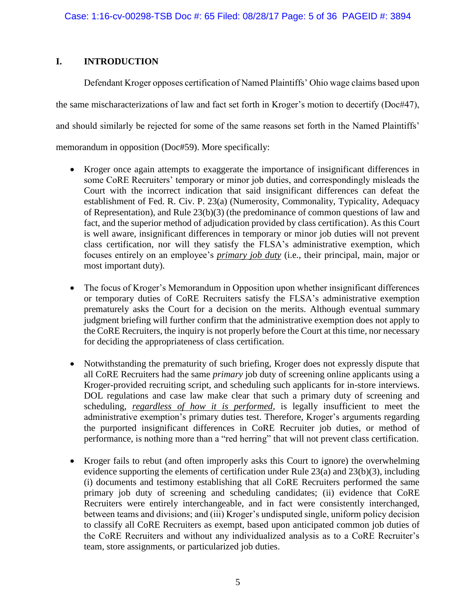## **I. INTRODUCTION**

Defendant Kroger opposes certification of Named Plaintiffs' Ohio wage claims based upon the same mischaracterizations of law and fact set forth in Kroger's motion to decertify (Doc#47), and should similarly be rejected for some of the same reasons set forth in the Named Plaintiffs' memorandum in opposition (Doc#59). More specifically:

- Kroger once again attempts to exaggerate the importance of insignificant differences in some CoRE Recruiters' temporary or minor job duties, and correspondingly misleads the Court with the incorrect indication that said insignificant differences can defeat the establishment of Fed. R. Civ. P. 23(a) (Numerosity, Commonality, Typicality, Adequacy of Representation), and Rule  $23(b)(3)$  (the predominance of common questions of law and fact, and the superior method of adjudication provided by class certification). As this Court is well aware, insignificant differences in temporary or minor job duties will not prevent class certification, nor will they satisfy the FLSA's administrative exemption, which focuses entirely on an employee's *primary job duty* (i.e., their principal, main, major or most important duty).
- The focus of Kroger's Memorandum in Opposition upon whether insignificant differences or temporary duties of CoRE Recruiters satisfy the FLSA's administrative exemption prematurely asks the Court for a decision on the merits. Although eventual summary judgment briefing will further confirm that the administrative exemption does not apply to the CoRE Recruiters, the inquiry is not properly before the Court at this time, nor necessary for deciding the appropriateness of class certification.
- Notwithstanding the prematurity of such briefing, Kroger does not expressly dispute that all CoRE Recruiters had the same *primary* job duty of screening online applicants using a Kroger-provided recruiting script, and scheduling such applicants for in-store interviews. DOL regulations and case law make clear that such a primary duty of screening and scheduling, *regardless of how it is performed*, is legally insufficient to meet the administrative exemption's primary duties test. Therefore, Kroger's arguments regarding the purported insignificant differences in CoRE Recruiter job duties, or method of performance, is nothing more than a "red herring" that will not prevent class certification.
- Kroger fails to rebut (and often improperly asks this Court to ignore) the overwhelming evidence supporting the elements of certification under Rule 23(a) and 23(b)(3), including (i) documents and testimony establishing that all CoRE Recruiters performed the same primary job duty of screening and scheduling candidates; (ii) evidence that CoRE Recruiters were entirely interchangeable, and in fact were consistently interchanged, between teams and divisions; and (iii) Kroger's undisputed single, uniform policy decision to classify all CoRE Recruiters as exempt, based upon anticipated common job duties of the CoRE Recruiters and without any individualized analysis as to a CoRE Recruiter's team, store assignments, or particularized job duties.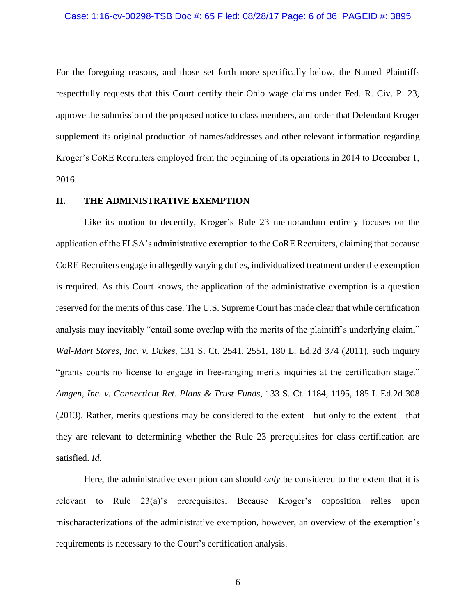For the foregoing reasons, and those set forth more specifically below, the Named Plaintiffs respectfully requests that this Court certify their Ohio wage claims under Fed. R. Civ. P. 23, approve the submission of the proposed notice to class members, and order that Defendant Kroger supplement its original production of names/addresses and other relevant information regarding Kroger's CoRE Recruiters employed from the beginning of its operations in 2014 to December 1, 2016.

## **II. THE ADMINISTRATIVE EXEMPTION**

Like its motion to decertify, Kroger's Rule 23 memorandum entirely focuses on the application of the FLSA's administrative exemption to the CoRE Recruiters, claiming that because CoRE Recruiters engage in allegedly varying duties, individualized treatment under the exemption is required. As this Court knows, the application of the administrative exemption is a question reserved for the merits of this case. The U.S. Supreme Court has made clear that while certification analysis may inevitably "entail some overlap with the merits of the plaintiff's underlying claim," *Wal-Mart Stores, Inc. v. Dukes*, 131 S. Ct. 2541, 2551, 180 L. Ed.2d 374 (2011), such inquiry "grants courts no license to engage in free-ranging merits inquiries at the certification stage." *Amgen, Inc. v. Connecticut Ret. Plans & Trust Funds*, 133 S. Ct. 1184, 1195, 185 L Ed.2d 308 (2013). Rather, merits questions may be considered to the extent—but only to the extent—that they are relevant to determining whether the Rule 23 prerequisites for class certification are satisfied. *Id.*

Here, the administrative exemption can should *only* be considered to the extent that it is relevant to Rule 23(a)'s prerequisites. Because Kroger's opposition relies upon mischaracterizations of the administrative exemption, however, an overview of the exemption's requirements is necessary to the Court's certification analysis.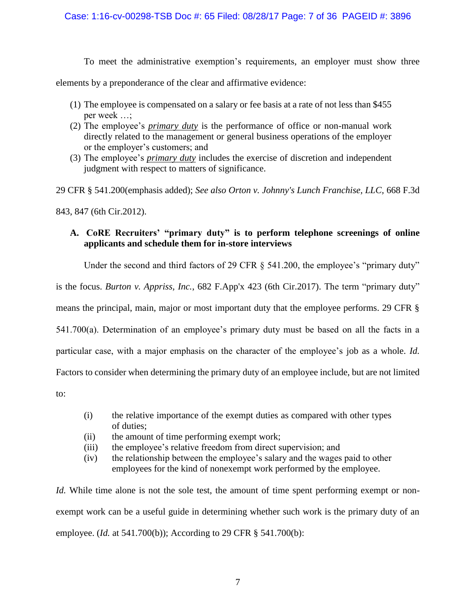To meet the administrative exemption's requirements, an employer must show three

elements by a preponderance of the clear and affirmative evidence:

- (1) The employee is compensated on a salary or fee basis at a rate of not less than \$455 per week …;
- (2) The employee's *primary duty* is the performance of office or non-manual work directly related to the management or general business operations of the employer or the employer's customers; and
- (3) The employee's *primary duty* includes the exercise of discretion and independent judgment with respect to matters of significance.

29 CFR § 541.200(emphasis added); *See also Orton v. Johnny's Lunch Franchise, LLC,* 668 F.3d

843, 847 (6th Cir.2012).

## **A. CoRE Recruiters' "primary duty" is to perform telephone screenings of online applicants and schedule them for in-store interviews**

Under the second and third factors of 29 CFR § 541.200, the employee's "primary duty"

is the focus. *Burton v. Appriss, Inc.*, 682 F.App'x 423 (6th Cir.2017). The term "primary duty"

means the principal, main, major or most important duty that the employee performs. 29 CFR §

541.700(a). Determination of an employee's primary duty must be based on all the facts in a

particular case, with a major emphasis on the character of the employee's job as a whole. *Id.*

Factors to consider when determining the primary duty of an employee include, but are not limited

to:

- (i) the relative importance of the exempt duties as compared with other types of duties;
- (ii) the amount of time performing exempt work;
- (iii) the employee's relative freedom from direct supervision; and
- (iv) the relationship between the employee's salary and the wages paid to other employees for the kind of nonexempt work performed by the employee.

*Id.* While time alone is not the sole test, the amount of time spent performing exempt or nonexempt work can be a useful guide in determining whether such work is the primary duty of an employee. (*Id.* at 541.700(b)); According to 29 CFR § 541.700(b):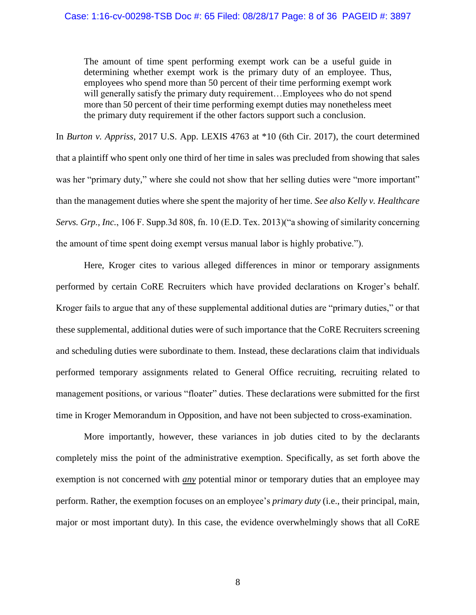The amount of time spent performing exempt work can be a useful guide in determining whether exempt work is the primary duty of an employee. Thus, employees who spend more than 50 percent of their time performing exempt work will generally satisfy the primary duty requirement... Employees who do not spend more than 50 percent of their time performing exempt duties may nonetheless meet the primary duty requirement if the other factors support such a conclusion.

In *Burton v. Appriss*, 2017 U.S. App. LEXIS 4763 at \*10 (6th Cir. 2017), the court determined that a plaintiff who spent only one third of her time in sales was precluded from showing that sales was her "primary duty," where she could not show that her selling duties were "more important" than the management duties where she spent the majority of her time. *See also Kelly v. Healthcare Servs. Grp., Inc.*, 106 F. Supp.3d 808, fn. 10 (E.D. Tex. 2013)("a showing of similarity concerning the amount of time spent doing exempt versus manual labor is highly probative.").

Here, Kroger cites to various alleged differences in minor or temporary assignments performed by certain CoRE Recruiters which have provided declarations on Kroger's behalf. Kroger fails to argue that any of these supplemental additional duties are "primary duties," or that these supplemental, additional duties were of such importance that the CoRE Recruiters screening and scheduling duties were subordinate to them. Instead, these declarations claim that individuals performed temporary assignments related to General Office recruiting, recruiting related to management positions, or various "floater" duties. These declarations were submitted for the first time in Kroger Memorandum in Opposition, and have not been subjected to cross-examination.

More importantly, however, these variances in job duties cited to by the declarants completely miss the point of the administrative exemption. Specifically, as set forth above the exemption is not concerned with *any* potential minor or temporary duties that an employee may perform. Rather, the exemption focuses on an employee's *primary duty* (i.e., their principal, main, major or most important duty). In this case, the evidence overwhelmingly shows that all CoRE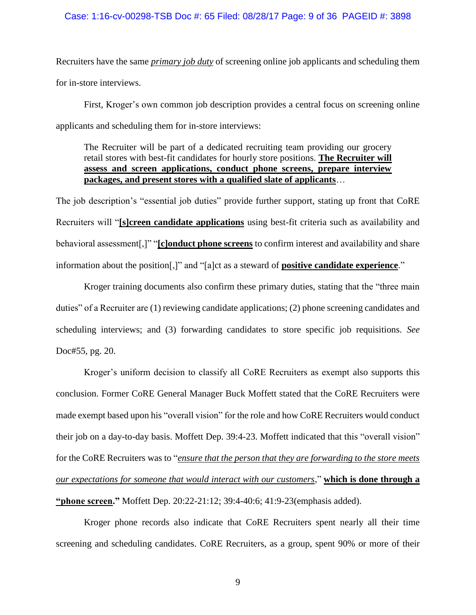Recruiters have the same *primary job duty* of screening online job applicants and scheduling them for in-store interviews.

First, Kroger's own common job description provides a central focus on screening online applicants and scheduling them for in-store interviews:

The Recruiter will be part of a dedicated recruiting team providing our grocery retail stores with best-fit candidates for hourly store positions. **The Recruiter will assess and screen applications, conduct phone screens, prepare interview packages, and present stores with a qualified slate of applicants**…

The job description's "essential job duties" provide further support, stating up front that CoRE Recruiters will "**[s]creen candidate applications** using best-fit criteria such as availability and behavioral assessment[,]" "**[c]onduct phone screens** to confirm interest and availability and share information about the position[,]" and "[a]ct as a steward of **positive candidate experience**."

Kroger training documents also confirm these primary duties, stating that the "three main duties" of a Recruiter are (1) reviewing candidate applications; (2) phone screening candidates and scheduling interviews; and (3) forwarding candidates to store specific job requisitions. *See* Doc#55, pg. 20.

Kroger's uniform decision to classify all CoRE Recruiters as exempt also supports this conclusion. Former CoRE General Manager Buck Moffett stated that the CoRE Recruiters were made exempt based upon his "overall vision" for the role and how CoRE Recruiters would conduct their job on a day-to-day basis. Moffett Dep. 39:4-23. Moffett indicated that this "overall vision" for the CoRE Recruiters was to "*ensure that the person that they are forwarding to the store meets our expectations for someone that would interact with our customers*," **which is done through a "phone screen."** Moffett Dep. 20:22-21:12; 39:4-40:6; 41:9-23(emphasis added).

Kroger phone records also indicate that CoRE Recruiters spent nearly all their time screening and scheduling candidates. CoRE Recruiters, as a group, spent 90% or more of their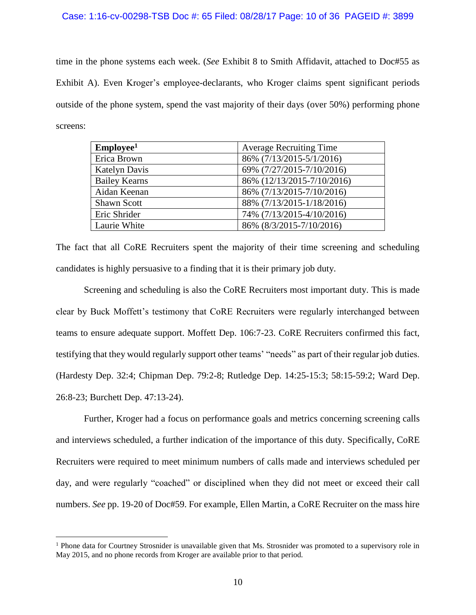### Case: 1:16-cv-00298-TSB Doc #: 65 Filed: 08/28/17 Page: 10 of 36 PAGEID #: 3899

time in the phone systems each week. (*See* Exhibit 8 to Smith Affidavit, attached to Doc#55 as Exhibit A). Even Kroger's employee-declarants, who Kroger claims spent significant periods outside of the phone system, spend the vast majority of their days (over 50%) performing phone screens:

| Employee <sup>1</sup> | <b>Average Recruiting Time</b> |
|-----------------------|--------------------------------|
| Erica Brown           | 86% (7/13/2015-5/1/2016)       |
| Katelyn Davis         | 69% (7/27/2015-7/10/2016)      |
| <b>Bailey Kearns</b>  | 86% (12/13/2015-7/10/2016)     |
| Aidan Keenan          | 86% (7/13/2015-7/10/2016)      |
| <b>Shawn Scott</b>    | 88% (7/13/2015-1/18/2016)      |
| Eric Shrider          | 74% (7/13/2015-4/10/2016)      |
| Laurie White          | 86% (8/3/2015-7/10/2016)       |

The fact that all CoRE Recruiters spent the majority of their time screening and scheduling candidates is highly persuasive to a finding that it is their primary job duty.

Screening and scheduling is also the CoRE Recruiters most important duty. This is made clear by Buck Moffett's testimony that CoRE Recruiters were regularly interchanged between teams to ensure adequate support. Moffett Dep. 106:7-23. CoRE Recruiters confirmed this fact, testifying that they would regularly support other teams' "needs" as part of their regular job duties. (Hardesty Dep. 32:4; Chipman Dep. 79:2-8; Rutledge Dep. 14:25-15:3; 58:15-59:2; Ward Dep. 26:8-23; Burchett Dep. 47:13-24).

Further, Kroger had a focus on performance goals and metrics concerning screening calls and interviews scheduled, a further indication of the importance of this duty. Specifically, CoRE Recruiters were required to meet minimum numbers of calls made and interviews scheduled per day, and were regularly "coached" or disciplined when they did not meet or exceed their call numbers. *See* pp. 19-20 of Doc#59. For example, Ellen Martin, a CoRE Recruiter on the mass hire

<sup>&</sup>lt;sup>1</sup> Phone data for Courtney Strosnider is unavailable given that Ms. Strosnider was promoted to a supervisory role in May 2015, and no phone records from Kroger are available prior to that period.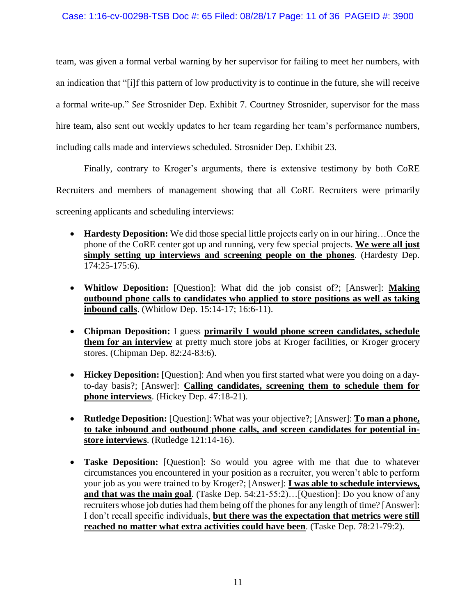team, was given a formal verbal warning by her supervisor for failing to meet her numbers, with an indication that "[i]f this pattern of low productivity is to continue in the future, she will receive a formal write-up." *See* Strosnider Dep. Exhibit 7. Courtney Strosnider, supervisor for the mass hire team, also sent out weekly updates to her team regarding her team's performance numbers, including calls made and interviews scheduled. Strosnider Dep. Exhibit 23.

Finally, contrary to Kroger's arguments, there is extensive testimony by both CoRE Recruiters and members of management showing that all CoRE Recruiters were primarily screening applicants and scheduling interviews:

- **Hardesty Deposition:** We did those special little projects early on in our hiring...Once the phone of the CoRE center got up and running, very few special projects. **We were all just simply setting up interviews and screening people on the phones**. (Hardesty Dep. 174:25-175:6).
- **Whitlow Deposition:** [Question]: What did the job consist of?; [Answer]: **Making outbound phone calls to candidates who applied to store positions as well as taking inbound calls**. (Whitlow Dep. 15:14-17; 16:6-11).
- **Chipman Deposition:** I guess **primarily I would phone screen candidates, schedule them for an interview** at pretty much store jobs at Kroger facilities, or Kroger grocery stores. (Chipman Dep. 82:24-83:6).
- **Hickey Deposition:** [Question]: And when you first started what were you doing on a dayto-day basis?; [Answer]: **Calling candidates, screening them to schedule them for phone interviews**. (Hickey Dep. 47:18-21).
- **Rutledge Deposition:** [Question]: What was your objective?; [Answer]: **To man a phone, to take inbound and outbound phone calls, and screen candidates for potential instore interviews**. (Rutledge 121:14-16).
- **Taske Deposition:** [Question]: So would you agree with me that due to whatever circumstances you encountered in your position as a recruiter, you weren't able to perform your job as you were trained to by Kroger?; [Answer]: **I was able to schedule interviews, and that was the main goal**. (Taske Dep. 54:21-55:2)…[Question]: Do you know of any recruiters whose job duties had them being off the phones for any length of time? [Answer]: I don't recall specific individuals, **but there was the expectation that metrics were still reached no matter what extra activities could have been**. (Taske Dep. 78:21-79:2).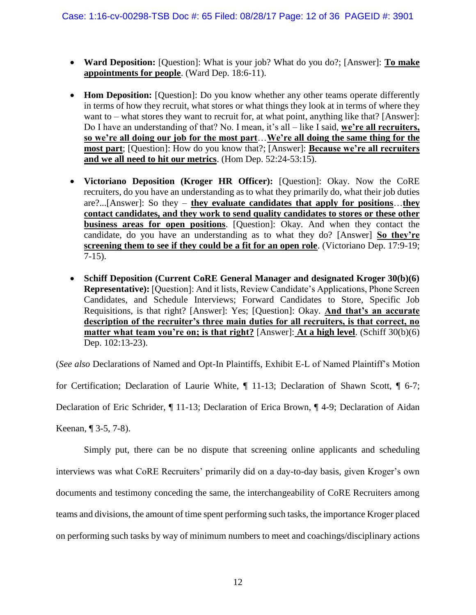- **Ward Deposition:** [Question]: What is your job? What do you do?; [Answer]: **To make appointments for people**. (Ward Dep. 18:6-11).
- **Hom Deposition:** [Question]: Do you know whether any other teams operate differently in terms of how they recruit, what stores or what things they look at in terms of where they want to – what stores they want to recruit for, at what point, anything like that? [Answer]: Do I have an understanding of that? No. I mean, it's all – like I said, **we're all recruiters, so we're all doing our job for the most part**…**We're all doing the same thing for the most part**; [Question]: How do you know that?; [Answer]: **Because we're all recruiters and we all need to hit our metrics**. (Hom Dep. 52:24-53:15).
- **Victoriano Deposition (Kroger HR Officer):** [Question]: Okay. Now the CoRE recruiters, do you have an understanding as to what they primarily do, what their job duties are?...[Answer]: So they – **they evaluate candidates that apply for positions**…**they contact candidates, and they work to send quality candidates to stores or these other business areas for open positions**. [Question]: Okay. And when they contact the candidate, do you have an understanding as to what they do? [Answer] **So they're screening them to see if they could be a fit for an open role**. (Victoriano Dep. 17:9-19; 7-15).
- **Schiff Deposition (Current CoRE General Manager and designated Kroger 30(b)(6) Representative):** [Question]: And it lists, Review Candidate's Applications, Phone Screen Candidates, and Schedule Interviews; Forward Candidates to Store, Specific Job Requisitions, is that right? [Answer]: Yes; [Question]: Okay. **And that's an accurate description of the recruiter's three main duties for all recruiters, is that correct, no matter what team you're on; is that right?** [Answer]: **At a high level**. (Schiff 30(b)(6) Dep. 102:13-23).

(*See also* Declarations of Named and Opt-In Plaintiffs, Exhibit E-L of Named Plaintiff's Motion

for Certification; Declaration of Laurie White, ¶ 11-13; Declaration of Shawn Scott, ¶ 6-7;

Declaration of Eric Schrider, ¶ 11-13; Declaration of Erica Brown, ¶ 4-9; Declaration of Aidan

Keenan, ¶ 3-5, 7-8).

Simply put, there can be no dispute that screening online applicants and scheduling interviews was what CoRE Recruiters' primarily did on a day-to-day basis, given Kroger's own documents and testimony conceding the same, the interchangeability of CoRE Recruiters among teams and divisions, the amount of time spent performing such tasks, the importance Kroger placed on performing such tasks by way of minimum numbers to meet and coachings/disciplinary actions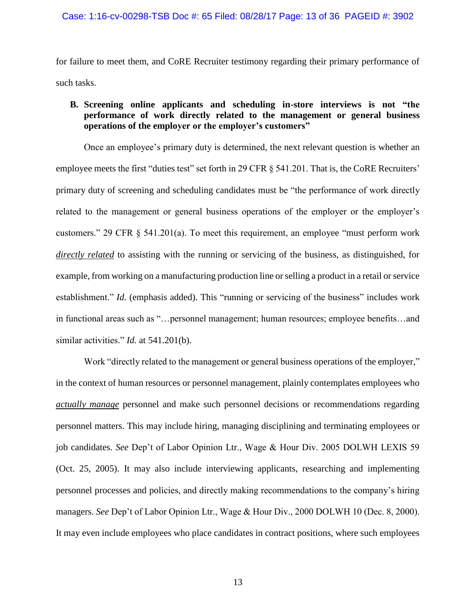for failure to meet them, and CoRE Recruiter testimony regarding their primary performance of such tasks.

## **B. Screening online applicants and scheduling in-store interviews is not "the performance of work directly related to the management or general business operations of the employer or the employer's customers"**

Once an employee's primary duty is determined, the next relevant question is whether an employee meets the first "duties test" set forth in 29 CFR § 541.201. That is, the CoRE Recruiters' primary duty of screening and scheduling candidates must be "the performance of work directly related to the management or general business operations of the employer or the employer's customers." 29 CFR § 541.201(a). To meet this requirement, an employee "must perform work *directly related* to assisting with the running or servicing of the business, as distinguished, for example, from working on a manufacturing production line or selling a product in a retail or service establishment." *Id.* (emphasis added). This "running or servicing of the business" includes work in functional areas such as "…personnel management; human resources; employee benefits…and similar activities." *Id.* at 541.201(b).

Work "directly related to the management or general business operations of the employer," in the context of human resources or personnel management, plainly contemplates employees who *actually manage* personnel and make such personnel decisions or recommendations regarding personnel matters. This may include hiring, managing disciplining and terminating employees or job candidates. *See* Dep't of Labor Opinion Ltr., Wage & Hour Div. 2005 DOLWH LEXIS 59 (Oct. 25, 2005). It may also include interviewing applicants, researching and implementing personnel processes and policies, and directly making recommendations to the company's hiring managers. *See* Dep't of Labor Opinion Ltr., Wage & Hour Div., 2000 DOLWH 10 (Dec. 8, 2000). It may even include employees who place candidates in contract positions, where such employees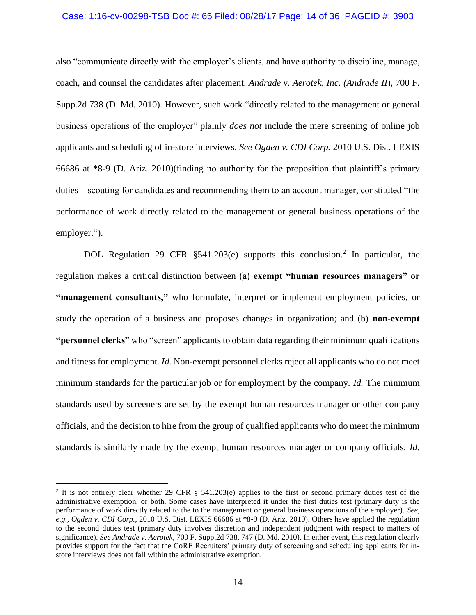#### Case: 1:16-cv-00298-TSB Doc #: 65 Filed: 08/28/17 Page: 14 of 36 PAGEID #: 3903

also "communicate directly with the employer's clients, and have authority to discipline, manage, coach, and counsel the candidates after placement. *Andrade v. Aerotek, Inc. (Andrade II*), 700 F. Supp.2d 738 (D. Md. 2010). However, such work "directly related to the management or general business operations of the employer" plainly *does not* include the mere screening of online job applicants and scheduling of in-store interviews. *See Ogden v. CDI Corp.* 2010 U.S. Dist. LEXIS 66686 at \*8-9 (D. Ariz. 2010)(finding no authority for the proposition that plaintiff's primary duties – scouting for candidates and recommending them to an account manager, constituted "the performance of work directly related to the management or general business operations of the employer.").

DOL Regulation 29 CFR §541.203(e) supports this conclusion.<sup>2</sup> In particular, the regulation makes a critical distinction between (a) **exempt "human resources managers" or "management consultants,"** who formulate, interpret or implement employment policies, or study the operation of a business and proposes changes in organization; and (b) **non-exempt "personnel clerks"** who "screen" applicants to obtain data regarding their minimum qualifications and fitness for employment. *Id.* Non-exempt personnel clerks reject all applicants who do not meet minimum standards for the particular job or for employment by the company. *Id.* The minimum standards used by screeners are set by the exempt human resources manager or other company officials, and the decision to hire from the group of qualified applicants who do meet the minimum standards is similarly made by the exempt human resources manager or company officials. *Id.*

<sup>&</sup>lt;sup>2</sup> It is not entirely clear whether 29 CFR § 541.203(e) applies to the first or second primary duties test of the administrative exemption, or both. Some cases have interpreted it under the first duties test (primary duty is the performance of work directly related to the to the management or general business operations of the employer). *See, e.g., Ogden v. CDI Corp.*, 2010 U.S. Dist. LEXIS 66686 at \*8-9 (D. Ariz. 2010). Others have applied the regulation to the second duties test (primary duty involves discretion and independent judgment with respect to matters of significance). *See Andrade v. Aerotek*, 700 F. Supp.2d 738, 747 (D. Md. 2010). In either event, this regulation clearly provides support for the fact that the CoRE Recruiters' primary duty of screening and scheduling applicants for instore interviews does not fall within the administrative exemption.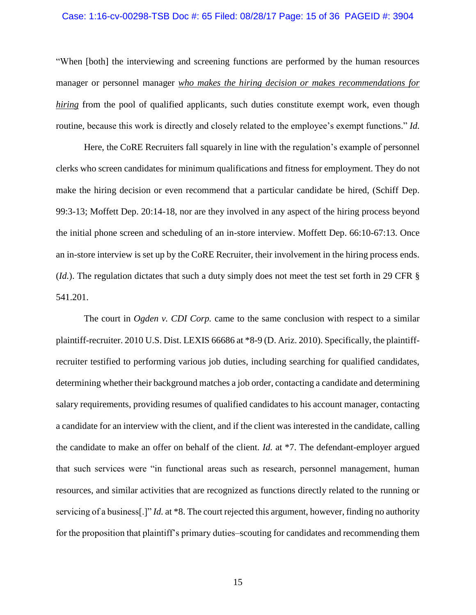### Case: 1:16-cv-00298-TSB Doc #: 65 Filed: 08/28/17 Page: 15 of 36 PAGEID #: 3904

"When [both] the interviewing and screening functions are performed by the human resources manager or personnel manager *who makes the hiring decision or makes recommendations for hiring* from the pool of qualified applicants, such duties constitute exempt work, even though routine, because this work is directly and closely related to the employee's exempt functions." *Id.*

Here, the CoRE Recruiters fall squarely in line with the regulation's example of personnel clerks who screen candidates for minimum qualifications and fitness for employment. They do not make the hiring decision or even recommend that a particular candidate be hired, (Schiff Dep. 99:3-13; Moffett Dep. 20:14-18, nor are they involved in any aspect of the hiring process beyond the initial phone screen and scheduling of an in-store interview. Moffett Dep. 66:10-67:13. Once an in-store interview is set up by the CoRE Recruiter, their involvement in the hiring process ends. (*Id.*). The regulation dictates that such a duty simply does not meet the test set forth in 29 CFR § 541.201.

The court in *Ogden v. CDI Corp.* came to the same conclusion with respect to a similar plaintiff-recruiter. 2010 U.S. Dist. LEXIS 66686 at \*8-9 (D. Ariz. 2010). Specifically, the plaintiffrecruiter testified to performing various job duties, including searching for qualified candidates, determining whether their background matches a job order, contacting a candidate and determining salary requirements, providing resumes of qualified candidates to his account manager, contacting a candidate for an interview with the client, and if the client was interested in the candidate, calling the candidate to make an offer on behalf of the client. *Id.* at \*7. The defendant-employer argued that such services were "in functional areas such as research, personnel management, human resources, and similar activities that are recognized as functions directly related to the running or servicing of a business[.]" *Id.* at \*8. The court rejected this argument, however, finding no authority for the proposition that plaintiff's primary duties–scouting for candidates and recommending them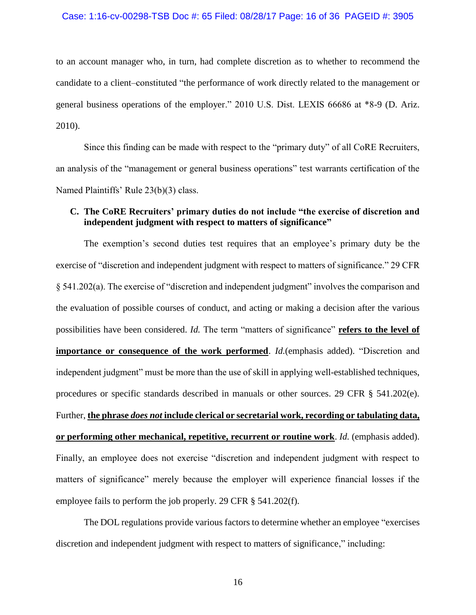### Case: 1:16-cv-00298-TSB Doc #: 65 Filed: 08/28/17 Page: 16 of 36 PAGEID #: 3905

to an account manager who, in turn, had complete discretion as to whether to recommend the candidate to a client–constituted "the performance of work directly related to the management or general business operations of the employer." 2010 U.S. Dist. LEXIS 66686 at \*8-9 (D. Ariz. 2010).

Since this finding can be made with respect to the "primary duty" of all CoRE Recruiters, an analysis of the "management or general business operations" test warrants certification of the Named Plaintiffs' Rule 23(b)(3) class.

## **C. The CoRE Recruiters' primary duties do not include "the exercise of discretion and independent judgment with respect to matters of significance"**

The exemption's second duties test requires that an employee's primary duty be the exercise of "discretion and independent judgment with respect to matters of significance." 29 CFR § 541.202(a). The exercise of "discretion and independent judgment" involves the comparison and the evaluation of possible courses of conduct, and acting or making a decision after the various possibilities have been considered. *Id.* The term "matters of significance" **refers to the level of importance or consequence of the work performed**. *Id.*(emphasis added). "Discretion and independent judgment" must be more than the use of skill in applying well-established techniques, procedures or specific standards described in manuals or other sources. 29 CFR § 541.202(e). Further, **the phrase** *does not* **include clerical or secretarial work, recording or tabulating data, or performing other mechanical, repetitive, recurrent or routine work**. *Id.* (emphasis added). Finally, an employee does not exercise "discretion and independent judgment with respect to matters of significance" merely because the employer will experience financial losses if the employee fails to perform the job properly. 29 CFR § 541.202(f).

The DOL regulations provide various factors to determine whether an employee "exercises discretion and independent judgment with respect to matters of significance," including: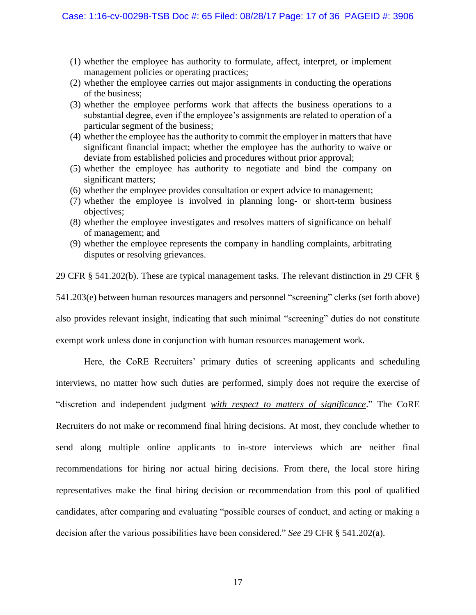- (1) whether the employee has authority to formulate, affect, interpret, or implement management policies or operating practices;
- (2) whether the employee carries out major assignments in conducting the operations of the business;
- (3) whether the employee performs work that affects the business operations to a substantial degree, even if the employee's assignments are related to operation of a particular segment of the business;
- (4) whether the employee has the authority to commit the employer in matters that have significant financial impact; whether the employee has the authority to waive or deviate from established policies and procedures without prior approval;
- (5) whether the employee has authority to negotiate and bind the company on significant matters;
- (6) whether the employee provides consultation or expert advice to management;
- (7) whether the employee is involved in planning long- or short-term business objectives;
- (8) whether the employee investigates and resolves matters of significance on behalf of management; and
- (9) whether the employee represents the company in handling complaints, arbitrating disputes or resolving grievances.

29 CFR § 541.202(b). These are typical management tasks. The relevant distinction in 29 CFR § 541.203(e) between human resources managers and personnel "screening" clerks (set forth above) also provides relevant insight, indicating that such minimal "screening" duties do not constitute exempt work unless done in conjunction with human resources management work.

Here, the CoRE Recruiters' primary duties of screening applicants and scheduling interviews, no matter how such duties are performed, simply does not require the exercise of "discretion and independent judgment *with respect to matters of significance*." The CoRE Recruiters do not make or recommend final hiring decisions. At most, they conclude whether to send along multiple online applicants to in-store interviews which are neither final recommendations for hiring nor actual hiring decisions. From there, the local store hiring representatives make the final hiring decision or recommendation from this pool of qualified candidates, after comparing and evaluating "possible courses of conduct, and acting or making a decision after the various possibilities have been considered." *See* 29 CFR § 541.202(a).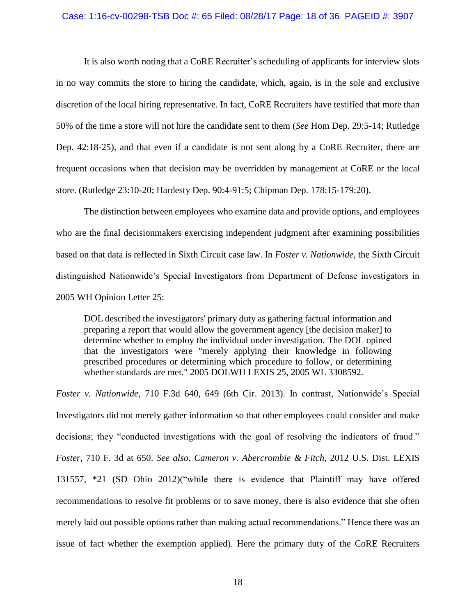#### Case: 1:16-cv-00298-TSB Doc #: 65 Filed: 08/28/17 Page: 18 of 36 PAGEID #: 3907

It is also worth noting that a CoRE Recruiter's scheduling of applicants for interview slots in no way commits the store to hiring the candidate, which, again, is in the sole and exclusive discretion of the local hiring representative. In fact, CoRE Recruiters have testified that more than 50% of the time a store will not hire the candidate sent to them (*See* Hom Dep. 29:5-14; Rutledge Dep. 42:18-25), and that even if a candidate is not sent along by a CoRE Recruiter, there are frequent occasions when that decision may be overridden by management at CoRE or the local store. (Rutledge 23:10-20; Hardesty Dep. 90:4-91:5; Chipman Dep. 178:15-179:20).

The distinction between employees who examine data and provide options, and employees who are the final decisionmakers exercising independent judgment after examining possibilities based on that data is reflected in Sixth Circuit case law. In *Foster v. Nationwide*, the Sixth Circuit distinguished Nationwide's Special Investigators from Department of Defense investigators in 2005 WH Opinion Letter 25:

DOL described the investigators' primary duty as gathering factual information and preparing a report that would allow the government agency [the decision maker] to determine whether to employ the individual under investigation. The DOL opined that the investigators were "merely applying their knowledge in following prescribed procedures or determining which procedure to follow, or determining whether standards are met." 2005 DOLWH LEXIS 25, 2005 WL 3308592.

*Foster v. Nationwide,* 710 F.3d 640, 649 (6th Cir. 2013). In contrast, Nationwide's Special Investigators did not merely gather information so that other employees could consider and make decisions; they "conducted investigations with the goal of resolving the indicators of fraud." *Foster*, 710 F. 3d at 650. *See also, Cameron v. Abercrombie & Fitch*, 2012 U.S. Dist. LEXIS 131557, \*21 (SD Ohio 2012)("while there is evidence that Plaintiff may have offered recommendations to resolve fit problems or to save money, there is also evidence that she often merely laid out possible options rather than making actual recommendations." Hence there was an issue of fact whether the exemption applied). Here the primary duty of the CoRE Recruiters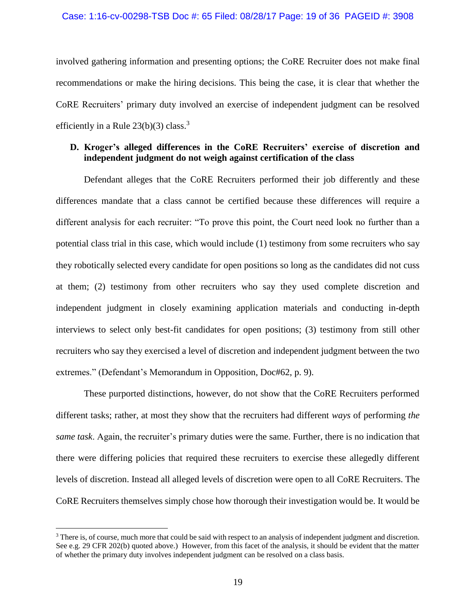### Case: 1:16-cv-00298-TSB Doc #: 65 Filed: 08/28/17 Page: 19 of 36 PAGEID #: 3908

involved gathering information and presenting options; the CoRE Recruiter does not make final recommendations or make the hiring decisions. This being the case, it is clear that whether the CoRE Recruiters' primary duty involved an exercise of independent judgment can be resolved efficiently in a Rule  $23(b)(3)$  class.<sup>3</sup>

## **D. Kroger's alleged differences in the CoRE Recruiters' exercise of discretion and independent judgment do not weigh against certification of the class**

Defendant alleges that the CoRE Recruiters performed their job differently and these differences mandate that a class cannot be certified because these differences will require a different analysis for each recruiter: "To prove this point, the Court need look no further than a potential class trial in this case, which would include (1) testimony from some recruiters who say they robotically selected every candidate for open positions so long as the candidates did not cuss at them; (2) testimony from other recruiters who say they used complete discretion and independent judgment in closely examining application materials and conducting in-depth interviews to select only best-fit candidates for open positions; (3) testimony from still other recruiters who say they exercised a level of discretion and independent judgment between the two extremes." (Defendant's Memorandum in Opposition, Doc#62, p. 9).

These purported distinctions, however, do not show that the CoRE Recruiters performed different tasks; rather, at most they show that the recruiters had different *ways* of performing *the same task*. Again, the recruiter's primary duties were the same. Further, there is no indication that there were differing policies that required these recruiters to exercise these allegedly different levels of discretion. Instead all alleged levels of discretion were open to all CoRE Recruiters. The CoRE Recruiters themselves simply chose how thorough their investigation would be. It would be

<sup>&</sup>lt;sup>3</sup> There is, of course, much more that could be said with respect to an analysis of independent judgment and discretion. See e.g. 29 CFR 202(b) quoted above.) However, from this facet of the analysis, it should be evident that the matter of whether the primary duty involves independent judgment can be resolved on a class basis.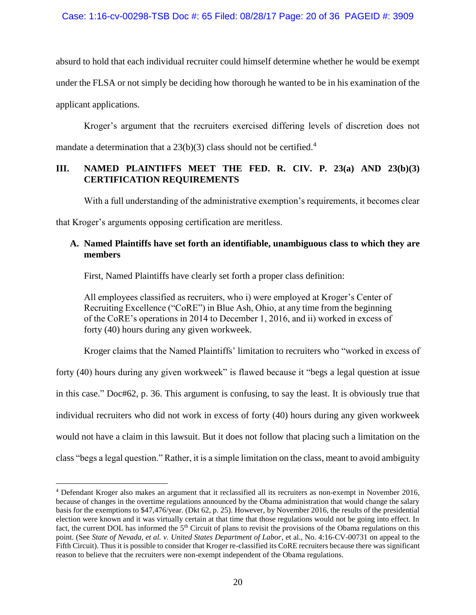absurd to hold that each individual recruiter could himself determine whether he would be exempt under the FLSA or not simply be deciding how thorough he wanted to be in his examination of the applicant applications.

Kroger's argument that the recruiters exercised differing levels of discretion does not mandate a determination that a  $23(b)(3)$  class should not be certified.<sup>4</sup>

## **III. NAMED PLAINTIFFS MEET THE FED. R. CIV. P. 23(a) AND 23(b)(3) CERTIFICATION REQUIREMENTS**

With a full understanding of the administrative exemption's requirements, it becomes clear

that Kroger's arguments opposing certification are meritless.

 $\overline{a}$ 

## **A. Named Plaintiffs have set forth an identifiable, unambiguous class to which they are members**

First, Named Plaintiffs have clearly set forth a proper class definition:

All employees classified as recruiters, who i) were employed at Kroger's Center of Recruiting Excellence ("CoRE") in Blue Ash, Ohio, at any time from the beginning of the CoRE's operations in 2014 to December 1, 2016, and ii) worked in excess of forty (40) hours during any given workweek.

Kroger claims that the Named Plaintiffs' limitation to recruiters who "worked in excess of

forty (40) hours during any given workweek" is flawed because it "begs a legal question at issue in this case." Doc#62, p. 36. This argument is confusing, to say the least. It is obviously true that individual recruiters who did not work in excess of forty (40) hours during any given workweek would not have a claim in this lawsuit. But it does not follow that placing such a limitation on the class "begs a legal question." Rather, it is a simple limitation on the class, meant to avoid ambiguity

<sup>4</sup> Defendant Kroger also makes an argument that it reclassified all its recruiters as non-exempt in November 2016, because of changes in the overtime regulations announced by the Obama administration that would change the salary basis for the exemptions to \$47,476/year. (Dkt 62, p. 25). However, by November 2016, the results of the presidential election were known and it was virtually certain at that time that those regulations would not be going into effect. In fact, the current DOL has informed the 5<sup>th</sup> Circuit of plans to revisit the provisions of the Obama regulations on this point. (See *State of Nevada, et al. v. United States Department of Labor*, et al., No. 4:16-CV-00731 on appeal to the Fifth Circuit). Thus it is possible to consider that Kroger re-classified its CoRE recruiters because there was significant reason to believe that the recruiters were non-exempt independent of the Obama regulations.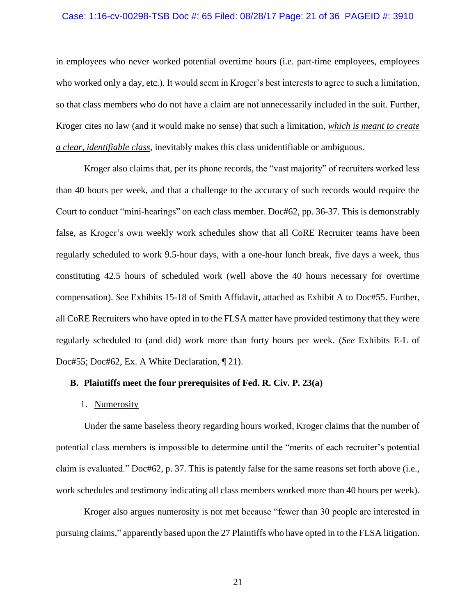### Case: 1:16-cv-00298-TSB Doc #: 65 Filed: 08/28/17 Page: 21 of 36 PAGEID #: 3910

in employees who never worked potential overtime hours (i.e. part-time employees, employees who worked only a day, etc.). It would seem in Kroger's best interests to agree to such a limitation, so that class members who do not have a claim are not unnecessarily included in the suit. Further, Kroger cites no law (and it would make no sense) that such a limitation, *which is meant to create a clear, identifiable class*, inevitably makes this class unidentifiable or ambiguous.

Kroger also claims that, per its phone records, the "vast majority" of recruiters worked less than 40 hours per week, and that a challenge to the accuracy of such records would require the Court to conduct "mini-hearings" on each class member. Doc#62, pp. 36-37. This is demonstrably false, as Kroger's own weekly work schedules show that all CoRE Recruiter teams have been regularly scheduled to work 9.5-hour days, with a one-hour lunch break, five days a week, thus constituting 42.5 hours of scheduled work (well above the 40 hours necessary for overtime compensation). *See* Exhibits 15-18 of Smith Affidavit, attached as Exhibit A to Doc#55. Further, all CoRE Recruiters who have opted in to the FLSA matter have provided testimony that they were regularly scheduled to (and did) work more than forty hours per week. (*See* Exhibits E-L of Doc#55; Doc#62, Ex. A White Declaration,  $\P$  21).

## **B. Plaintiffs meet the four prerequisites of Fed. R. Civ. P. 23(a)**

### 1. Numerosity

Under the same baseless theory regarding hours worked, Kroger claims that the number of potential class members is impossible to determine until the "merits of each recruiter's potential claim is evaluated." Doc#62, p. 37. This is patently false for the same reasons set forth above (i.e., work schedules and testimony indicating all class members worked more than 40 hours per week).

Kroger also argues numerosity is not met because "fewer than 30 people are interested in pursuing claims," apparently based upon the 27 Plaintiffs who have opted in to the FLSA litigation.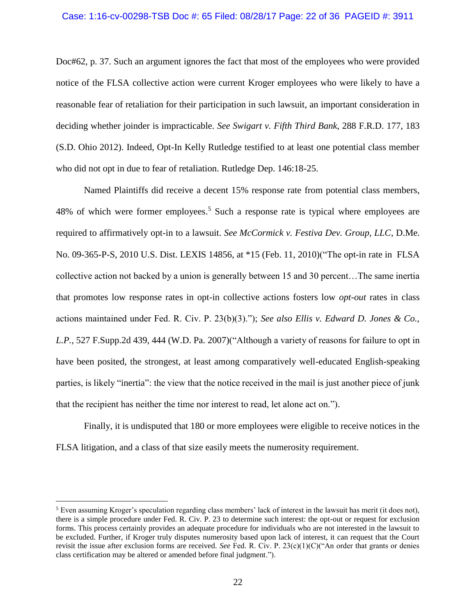### Case: 1:16-cv-00298-TSB Doc #: 65 Filed: 08/28/17 Page: 22 of 36 PAGEID #: 3911

Doc#62, p. 37. Such an argument ignores the fact that most of the employees who were provided notice of the FLSA collective action were current Kroger employees who were likely to have a reasonable fear of retaliation for their participation in such lawsuit, an important consideration in deciding whether joinder is impracticable. *See Swigart v. Fifth Third Bank*, 288 F.R.D. 177, 183 (S.D. Ohio 2012). Indeed, Opt-In Kelly Rutledge testified to at least one potential class member who did not opt in due to fear of retaliation. Rutledge Dep. 146:18-25.

Named Plaintiffs did receive a decent 15% response rate from potential class members, 48% of which were former employees.<sup>5</sup> Such a response rate is typical where employees are required to affirmatively opt-in to a lawsuit. *See McCormick v. Festiva Dev. Group, LLC,* D.Me. No. 09-365-P-S, 2010 U.S. Dist. LEXIS 14856, at \*15 (Feb. 11, 2010)("The opt-in rate in FLSA collective action not backed by a union is generally between 15 and 30 percent…The same inertia that promotes low response rates in opt-in collective actions fosters low *opt-out* rates in class actions maintained under Fed. R. Civ. P. 23(b)(3)."); *See also Ellis v. Edward D. Jones & Co., L.P.,* 527 F.Supp.2d 439, 444 (W.D. Pa. 2007)("Although a variety of reasons for failure to opt in have been posited, the strongest, at least among comparatively well-educated English-speaking parties, is likely "inertia": the view that the notice received in the mail is just another piece of junk that the recipient has neither the time nor interest to read, let alone act on.").

Finally, it is undisputed that 180 or more employees were eligible to receive notices in the FLSA litigation, and a class of that size easily meets the numerosity requirement.

<sup>5</sup> Even assuming Kroger's speculation regarding class members' lack of interest in the lawsuit has merit (it does not), there is a simple procedure under Fed. R. Civ. P. 23 to determine such interest: the opt-out or request for exclusion forms. This process certainly provides an adequate procedure for individuals who are not interested in the lawsuit to be excluded. Further, if Kroger truly disputes numerosity based upon lack of interest, it can request that the Court revisit the issue after exclusion forms are received. *See* Fed. R. Civ. P. 23(c)(1)(C)("An order that grants or denies class certification may be altered or amended before final judgment.").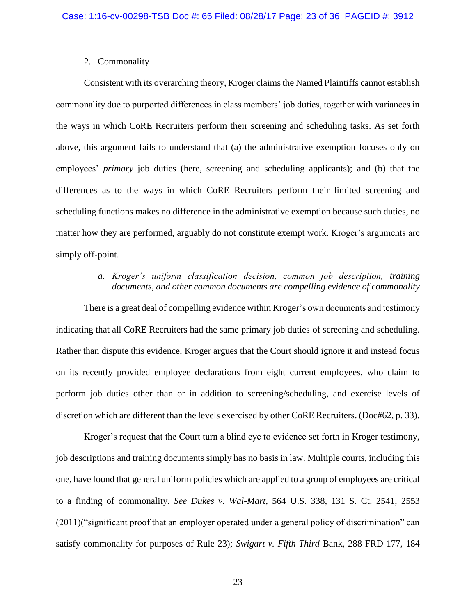## 2. Commonality

Consistent with its overarching theory, Kroger claims the Named Plaintiffs cannot establish commonality due to purported differences in class members' job duties, together with variances in the ways in which CoRE Recruiters perform their screening and scheduling tasks. As set forth above, this argument fails to understand that (a) the administrative exemption focuses only on employees' *primary* job duties (here, screening and scheduling applicants); and (b) that the differences as to the ways in which CoRE Recruiters perform their limited screening and scheduling functions makes no difference in the administrative exemption because such duties, no matter how they are performed, arguably do not constitute exempt work. Kroger's arguments are simply off-point.

## *a. Kroger's uniform classification decision, common job description, training documents, and other common documents are compelling evidence of commonality*

There is a great deal of compelling evidence within Kroger's own documents and testimony indicating that all CoRE Recruiters had the same primary job duties of screening and scheduling. Rather than dispute this evidence, Kroger argues that the Court should ignore it and instead focus on its recently provided employee declarations from eight current employees, who claim to perform job duties other than or in addition to screening/scheduling, and exercise levels of discretion which are different than the levels exercised by other CoRE Recruiters. (Doc#62, p. 33).

Kroger's request that the Court turn a blind eye to evidence set forth in Kroger testimony, job descriptions and training documents simply has no basis in law. Multiple courts, including this one, have found that general uniform policies which are applied to a group of employees are critical to a finding of commonality. *See Dukes v. Wal-Mart*, 564 U.S. 338, 131 S. Ct. 2541, 2553 (2011)("significant proof that an employer operated under a general policy of discrimination" can satisfy commonality for purposes of Rule 23); *Swigart v. Fifth Third* Bank, 288 FRD 177, 184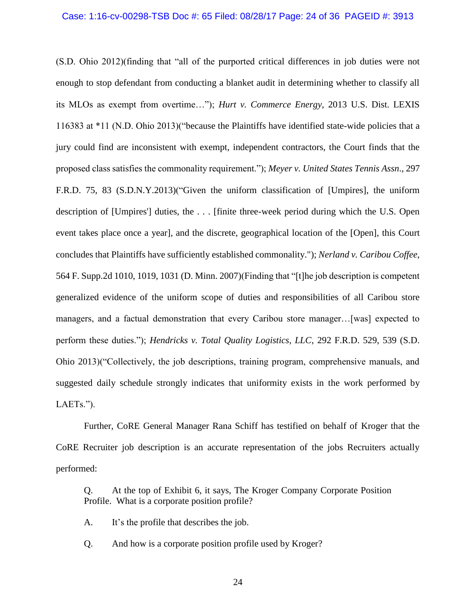(S.D. Ohio 2012)(finding that "all of the purported critical differences in job duties were not enough to stop defendant from conducting a blanket audit in determining whether to classify all its MLOs as exempt from overtime…"); *Hurt v. Commerce Energy*, 2013 U.S. Dist. LEXIS 116383 at \*11 (N.D. Ohio 2013)("because the Plaintiffs have identified state-wide policies that a jury could find are inconsistent with exempt, independent contractors, the Court finds that the proposed class satisfies the commonality requirement."); *Meyer v. United States Tennis Assn*., 297 F.R.D. 75, 83 (S.D.N.Y.2013)("Given the uniform classification of [Umpires], the uniform description of [Umpires'] duties, the . . . [finite three-week period during which the U.S. Open event takes place once a year], and the discrete, geographical location of the [Open], this Court concludes that Plaintiffs have sufficiently established commonality."); *Nerland v. Caribou Coffee*, 564 F. Supp.2d 1010, 1019, 1031 (D. Minn. 2007)(Finding that "[t]he job description is competent generalized evidence of the uniform scope of duties and responsibilities of all Caribou store managers, and a factual demonstration that every Caribou store manager…[was] expected to perform these duties."); *Hendricks v. Total Quality Logistics, LLC*, 292 F.R.D. 529, 539 (S.D. Ohio 2013)("Collectively, the job descriptions, training program, comprehensive manuals, and suggested daily schedule strongly indicates that uniformity exists in the work performed by LAETs.").

Further, CoRE General Manager Rana Schiff has testified on behalf of Kroger that the CoRE Recruiter job description is an accurate representation of the jobs Recruiters actually performed:

Q. At the top of Exhibit 6, it says, The Kroger Company Corporate Position Profile. What is a corporate position profile?

A. It's the profile that describes the job.

Q. And how is a corporate position profile used by Kroger?

24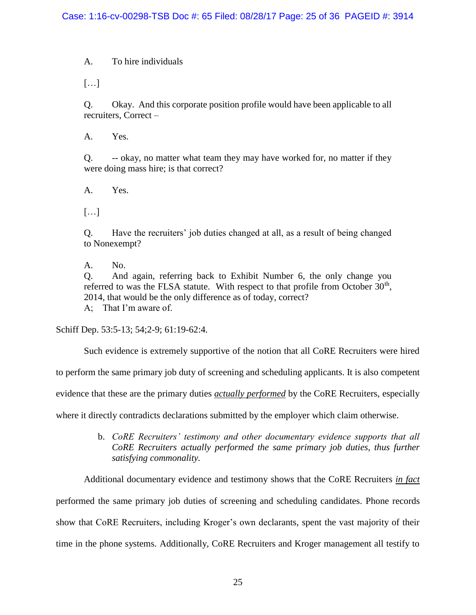A. To hire individuals

[…]

Q. Okay. And this corporate position profile would have been applicable to all recruiters, Correct –

A. Yes.

Q. -- okay, no matter what team they may have worked for, no matter if they were doing mass hire; is that correct?

A. Yes.

[…]

Q. Have the recruiters' job duties changed at all, as a result of being changed to Nonexempt?

A. No.

Q. And again, referring back to Exhibit Number 6, the only change you referred to was the FLSA statute. With respect to that profile from October  $30<sup>th</sup>$ , 2014, that would be the only difference as of today, correct?

A; That I'm aware of.

Schiff Dep. 53:5-13; 54;2-9; 61:19-62:4.

Such evidence is extremely supportive of the notion that all CoRE Recruiters were hired

to perform the same primary job duty of screening and scheduling applicants. It is also competent

evidence that these are the primary duties *actually performed* by the CoRE Recruiters, especially

where it directly contradicts declarations submitted by the employer which claim otherwise.

b. *CoRE Recruiters' testimony and other documentary evidence supports that all CoRE Recruiters actually performed the same primary job duties, thus further satisfying commonality.*

Additional documentary evidence and testimony shows that the CoRE Recruiters *in fact* performed the same primary job duties of screening and scheduling candidates. Phone records show that CoRE Recruiters, including Kroger's own declarants, spent the vast majority of their time in the phone systems. Additionally, CoRE Recruiters and Kroger management all testify to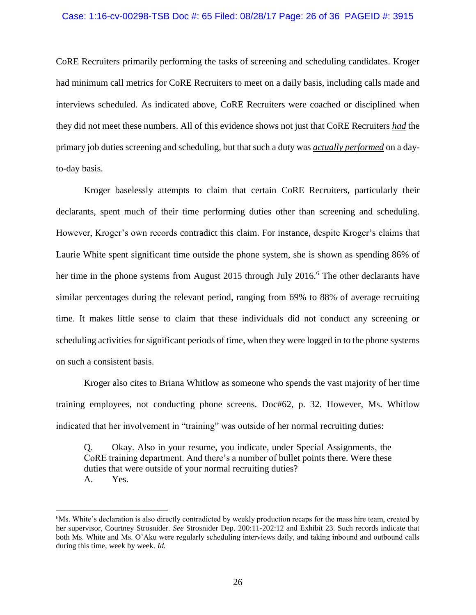### Case: 1:16-cv-00298-TSB Doc #: 65 Filed: 08/28/17 Page: 26 of 36 PAGEID #: 3915

CoRE Recruiters primarily performing the tasks of screening and scheduling candidates. Kroger had minimum call metrics for CoRE Recruiters to meet on a daily basis, including calls made and interviews scheduled. As indicated above, CoRE Recruiters were coached or disciplined when they did not meet these numbers. All of this evidence shows not just that CoRE Recruiters *had* the primary job duties screening and scheduling, but that such a duty was *actually performed* on a dayto-day basis.

Kroger baselessly attempts to claim that certain CoRE Recruiters, particularly their declarants, spent much of their time performing duties other than screening and scheduling. However, Kroger's own records contradict this claim. For instance, despite Kroger's claims that Laurie White spent significant time outside the phone system, she is shown as spending 86% of her time in the phone systems from August 2015 through July 2016.<sup>6</sup> The other declarants have similar percentages during the relevant period, ranging from 69% to 88% of average recruiting time. It makes little sense to claim that these individuals did not conduct any screening or scheduling activities for significant periods of time, when they were logged in to the phone systems on such a consistent basis.

Kroger also cites to Briana Whitlow as someone who spends the vast majority of her time training employees, not conducting phone screens. Doc#62, p. 32. However, Ms. Whitlow indicated that her involvement in "training" was outside of her normal recruiting duties:

Q. Okay. Also in your resume, you indicate, under Special Assignments, the CoRE training department. And there's a number of bullet points there. Were these duties that were outside of your normal recruiting duties? A. Yes.

<sup>6</sup>Ms. White's declaration is also directly contradicted by weekly production recaps for the mass hire team, created by her supervisor, Courtney Strosnider. *See* Strosnider Dep. 200:11-202:12 and Exhibit 23. Such records indicate that both Ms. White and Ms. O'Aku were regularly scheduling interviews daily, and taking inbound and outbound calls during this time, week by week. *Id.*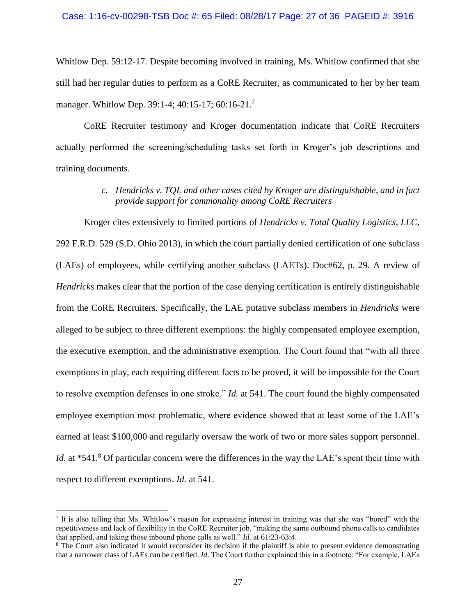### Case: 1:16-cv-00298-TSB Doc #: 65 Filed: 08/28/17 Page: 27 of 36 PAGEID #: 3916

Whitlow Dep. 59:12-17. Despite becoming involved in training, Ms. Whitlow confirmed that she still had her regular duties to perform as a CoRE Recruiter, as communicated to her by her team manager. Whitlow Dep. 39:1-4; 40:15-17; 60:16-21.<sup>7</sup>

CoRE Recruiter testimony and Kroger documentation indicate that CoRE Recruiters actually performed the screening/scheduling tasks set forth in Kroger's job descriptions and training documents.

## *c. Hendricks v. TQL and other cases cited by Kroger are distinguishable, and in fact provide support for commonality among CoRE Recruiters*

Kroger cites extensively to limited portions of *Hendricks v. Total Quality Logistics, LLC*, 292 F.R.D. 529 (S.D. Ohio 2013), in which the court partially denied certification of one subclass (LAEs) of employees, while certifying another subclass (LAETs). Doc#62, p. 29. A review of *Hendricks* makes clear that the portion of the case denying certification is entirely distinguishable from the CoRE Recruiters. Specifically, the LAE putative subclass members in *Hendricks* were alleged to be subject to three different exemptions: the highly compensated employee exemption, the executive exemption, and the administrative exemption. The Court found that "with all three exemptions in play, each requiring different facts to be proved, it will be impossible for the Court to resolve exemption defenses in one stroke." *Id.* at 541. The court found the highly compensated employee exemption most problematic, where evidence showed that at least some of the LAE's earned at least \$100,000 and regularly oversaw the work of two or more sales support personnel. *Id.* at \*541.<sup>8</sup> Of particular concern were the differences in the way the LAE's spent their time with respect to different exemptions. *Id.* at 541.

<sup>&</sup>lt;sup>7</sup> It is also telling that Ms. Whitlow's reason for expressing interest in training was that she was "bored" with the repetitiveness and lack of flexibility in the CoRE Recruiter job, "making the same outbound phone calls to candidates that applied, and taking those inbound phone calls as well." *Id.* at 61:23-63:4.

<sup>&</sup>lt;sup>8</sup> The Court also indicated it would reconsider its decision if the plaintiff is able to present evidence demonstrating that a narrower class of LAEs can be certified. *Id.* The Court further explained this in a footnote: "For example, LAEs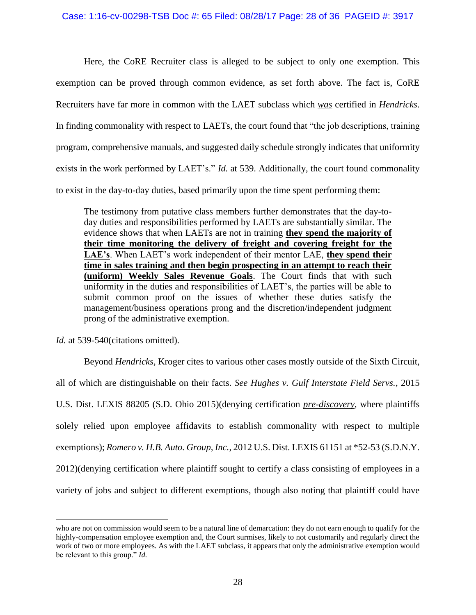Here, the CoRE Recruiter class is alleged to be subject to only one exemption. This exemption can be proved through common evidence, as set forth above. The fact is, CoRE Recruiters have far more in common with the LAET subclass which *was* certified in *Hendricks*. In finding commonality with respect to LAETs, the court found that "the job descriptions, training program, comprehensive manuals, and suggested daily schedule strongly indicates that uniformity exists in the work performed by LAET's." *Id.* at 539. Additionally, the court found commonality to exist in the day-to-day duties, based primarily upon the time spent performing them:

The testimony from putative class members further demonstrates that the day-today duties and responsibilities performed by LAETs are substantially similar. The evidence shows that when LAETs are not in training **they spend the majority of their time monitoring the delivery of freight and covering freight for the LAE's**. When LAET's work independent of their mentor LAE, **they spend their time in sales training and then begin prospecting in an attempt to reach their (uniform) Weekly Sales Revenue Goals**. The Court finds that with such uniformity in the duties and responsibilities of LAET's, the parties will be able to submit common proof on the issues of whether these duties satisfy the management/business operations prong and the discretion/independent judgment prong of the administrative exemption.

*Id.* at 539-540(citations omitted).

 $\overline{a}$ 

Beyond *Hendricks,* Kroger cites to various other cases mostly outside of the Sixth Circuit, all of which are distinguishable on their facts. *See Hughes v. Gulf Interstate Field Servs.*, 2015 U.S. Dist. LEXIS 88205 (S.D. Ohio 2015)(denying certification *pre-discovery*, where plaintiffs solely relied upon employee affidavits to establish commonality with respect to multiple exemptions); *Romero v. H.B. Auto. Group, Inc.*, 2012 U.S. Dist. LEXIS 61151 at \*52-53 (S.D.N.Y. 2012)(denying certification where plaintiff sought to certify a class consisting of employees in a variety of jobs and subject to different exemptions, though also noting that plaintiff could have

who are not on commission would seem to be a natural line of demarcation: they do not earn enough to qualify for the highly-compensation employee exemption and, the Court surmises, likely to not customarily and regularly direct the work of two or more employees. As with the LAET subclass, it appears that only the administrative exemption would be relevant to this group." *Id.*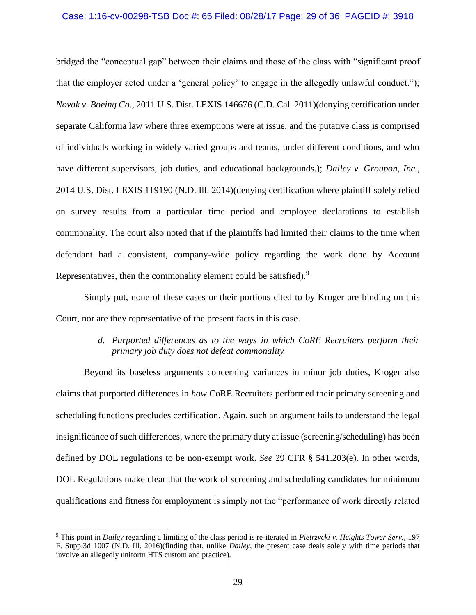### Case: 1:16-cv-00298-TSB Doc #: 65 Filed: 08/28/17 Page: 29 of 36 PAGEID #: 3918

bridged the "conceptual gap" between their claims and those of the class with "significant proof that the employer acted under a 'general policy' to engage in the allegedly unlawful conduct."); *Novak v. Boeing Co.*, 2011 U.S. Dist. LEXIS 146676 (C.D. Cal. 2011)(denying certification under separate California law where three exemptions were at issue, and the putative class is comprised of individuals working in widely varied groups and teams, under different conditions, and who have different supervisors, job duties, and educational backgrounds.); *Dailey v. Groupon, Inc.*, 2014 U.S. Dist. LEXIS 119190 (N.D. Ill. 2014)(denying certification where plaintiff solely relied on survey results from a particular time period and employee declarations to establish commonality. The court also noted that if the plaintiffs had limited their claims to the time when defendant had a consistent, company-wide policy regarding the work done by Account Representatives, then the commonality element could be satisfied).<sup>9</sup>

Simply put, none of these cases or their portions cited to by Kroger are binding on this Court, nor are they representative of the present facts in this case.

## *d. Purported differences as to the ways in which CoRE Recruiters perform their primary job duty does not defeat commonality*

Beyond its baseless arguments concerning variances in minor job duties, Kroger also claims that purported differences in *how* CoRE Recruiters performed their primary screening and scheduling functions precludes certification. Again, such an argument fails to understand the legal insignificance of such differences, where the primary duty at issue (screening/scheduling) has been defined by DOL regulations to be non-exempt work. *See* 29 CFR § 541.203(e). In other words, DOL Regulations make clear that the work of screening and scheduling candidates for minimum qualifications and fitness for employment is simply not the "performance of work directly related

<sup>9</sup> This point in *Dailey* regarding a limiting of the class period is re-iterated in *Pietrzycki v. Heights Tower Serv.*, 197 F. Supp.3d 1007 (N.D. Ill. 2016)(finding that, unlike *Dailey*, the present case deals solely with time periods that involve an allegedly uniform HTS custom and practice).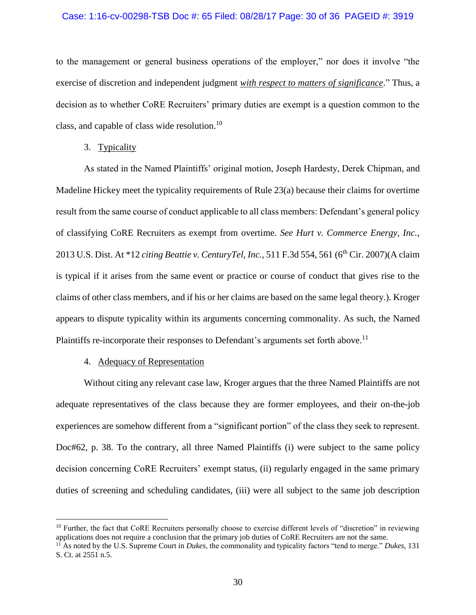### Case: 1:16-cv-00298-TSB Doc #: 65 Filed: 08/28/17 Page: 30 of 36 PAGEID #: 3919

to the management or general business operations of the employer," nor does it involve "the exercise of discretion and independent judgment *with respect to matters of significance*." Thus, a decision as to whether CoRE Recruiters' primary duties are exempt is a question common to the class, and capable of class wide resolution.<sup>10</sup>

### 3. Typicality

As stated in the Named Plaintiffs' original motion, Joseph Hardesty, Derek Chipman, and Madeline Hickey meet the typicality requirements of Rule 23(a) because their claims for overtime result from the same course of conduct applicable to all class members: Defendant's general policy of classifying CoRE Recruiters as exempt from overtime. *See Hurt v. Commerce Energy, Inc.*, 2013 U.S. Dist. At \*12 *citing Beattie v. CenturyTel, Inc.*, 511 F.3d 554, 561 (6th Cir. 2007)(A claim is typical if it arises from the same event or practice or course of conduct that gives rise to the claims of other class members, and if his or her claims are based on the same legal theory.). Kroger appears to dispute typicality within its arguments concerning commonality. As such, the Named Plaintiffs re-incorporate their responses to Defendant's arguments set forth above.<sup>11</sup>

### 4. Adequacy of Representation

 $\overline{a}$ 

Without citing any relevant case law, Kroger argues that the three Named Plaintiffs are not adequate representatives of the class because they are former employees, and their on-the-job experiences are somehow different from a "significant portion" of the class they seek to represent. Doc#62, p. 38. To the contrary, all three Named Plaintiffs (i) were subject to the same policy decision concerning CoRE Recruiters' exempt status, (ii) regularly engaged in the same primary duties of screening and scheduling candidates, (iii) were all subject to the same job description

<sup>&</sup>lt;sup>10</sup> Further, the fact that CoRE Recruiters personally choose to exercise different levels of "discretion" in reviewing applications does not require a conclusion that the primary job duties of CoRE Recruiters are not the same.

<sup>11</sup> As noted by the U.S. Supreme Court in *Dukes*, the commonality and typicality factors "tend to merge." *Dukes*, 131 S. Ct. at 2551 n.5.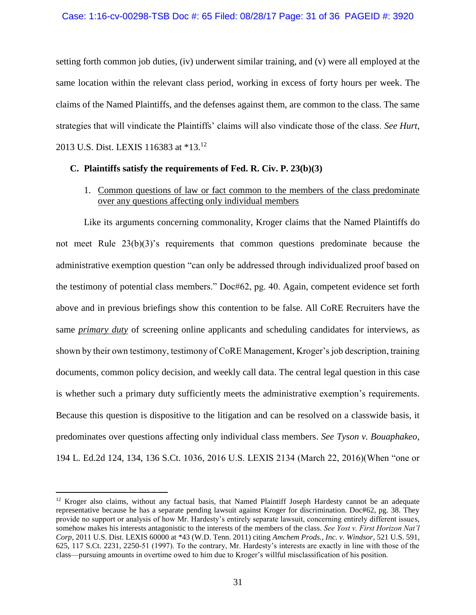setting forth common job duties, (iv) underwent similar training, and (v) were all employed at the same location within the relevant class period, working in excess of forty hours per week. The claims of the Named Plaintiffs, and the defenses against them, are common to the class. The same strategies that will vindicate the Plaintiffs' claims will also vindicate those of the class. *See Hurt*, 2013 U.S. Dist. LEXIS 116383 at \*13.<sup>12</sup>

## **C. Plaintiffs satisfy the requirements of Fed. R. Civ. P. 23(b)(3)**

1. Common questions of law or fact common to the members of the class predominate over any questions affecting only individual members

Like its arguments concerning commonality, Kroger claims that the Named Plaintiffs do not meet Rule 23(b)(3)'s requirements that common questions predominate because the administrative exemption question "can only be addressed through individualized proof based on the testimony of potential class members." Doc#62, pg. 40. Again, competent evidence set forth above and in previous briefings show this contention to be false. All CoRE Recruiters have the same *primary duty* of screening online applicants and scheduling candidates for interviews, as shown by their own testimony, testimony of CoRE Management, Kroger's job description, training documents, common policy decision, and weekly call data. The central legal question in this case is whether such a primary duty sufficiently meets the administrative exemption's requirements. Because this question is dispositive to the litigation and can be resolved on a classwide basis, it predominates over questions affecting only individual class members. *See Tyson v. Bouaphakeo*, 194 L. Ed.2d 124, 134, 136 S.Ct. 1036, 2016 U.S. LEXIS 2134 (March 22, 2016)(When "one or

 $12$  Kroger also claims, without any factual basis, that Named Plaintiff Joseph Hardesty cannot be an adequate representative because he has a separate pending lawsuit against Kroger for discrimination. Doc#62, pg. 38. They provide no support or analysis of how Mr. Hardesty's entirely separate lawsuit, concerning entirely different issues, somehow makes his interests antagonistic to the interests of the members of the class. *See Yost v. First Horizon Nat'l Corp*, 2011 U.S. Dist. LEXIS 60000 at \*43 (W.D. Tenn. 2011) citing *Amchem Prods., Inc. v. Windsor*, 521 U.S. 591, 625, 117 S.Ct. 2231, 2250-51 (1997). To the contrary, Mr. Hardesty's interests are exactly in line with those of the class—pursuing amounts in overtime owed to him due to Kroger's willful misclassification of his position.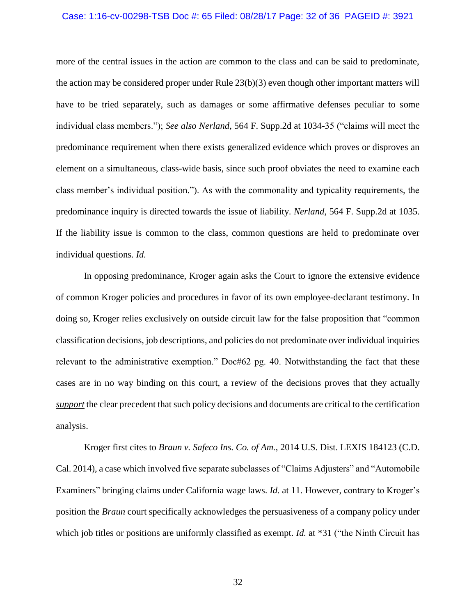### Case: 1:16-cv-00298-TSB Doc #: 65 Filed: 08/28/17 Page: 32 of 36 PAGEID #: 3921

more of the central issues in the action are common to the class and can be said to predominate, the action may be considered proper under Rule 23(b)(3) even though other important matters will have to be tried separately, such as damages or some affirmative defenses peculiar to some individual class members."); *See also Nerland*, 564 F. Supp.2d at 1034-35 ("claims will meet the predominance requirement when there exists generalized evidence which proves or disproves an element on a simultaneous, class-wide basis, since such proof obviates the need to examine each class member's individual position."). As with the commonality and typicality requirements, the predominance inquiry is directed towards the issue of liability. *Nerland*, 564 F. Supp.2d at 1035. If the liability issue is common to the class, common questions are held to predominate over individual questions. *Id.*

In opposing predominance, Kroger again asks the Court to ignore the extensive evidence of common Kroger policies and procedures in favor of its own employee-declarant testimony. In doing so, Kroger relies exclusively on outside circuit law for the false proposition that "common classification decisions, job descriptions, and policies do not predominate over individual inquiries relevant to the administrative exemption." Doc#62 pg. 40. Notwithstanding the fact that these cases are in no way binding on this court, a review of the decisions proves that they actually *support* the clear precedent that such policy decisions and documents are critical to the certification analysis.

Kroger first cites to *Braun v. Safeco Ins. Co. of Am.*, 2014 U.S. Dist. LEXIS 184123 (C.D. Cal. 2014), a case which involved five separate subclasses of "Claims Adjusters" and "Automobile Examiners" bringing claims under California wage laws. *Id.* at 11. However, contrary to Kroger's position the *Braun* court specifically acknowledges the persuasiveness of a company policy under which job titles or positions are uniformly classified as exempt. *Id.* at \*31 ("the Ninth Circuit has

32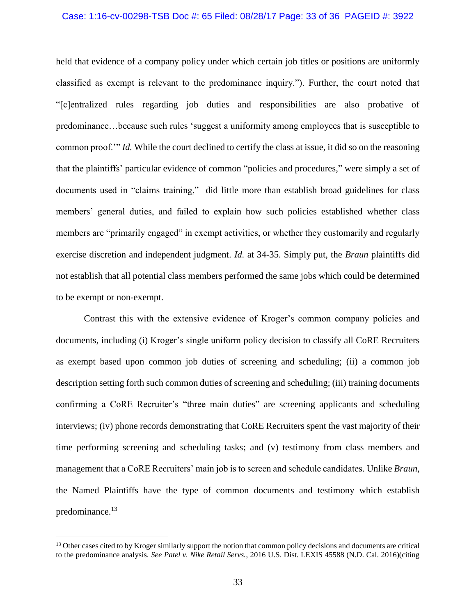### Case: 1:16-cv-00298-TSB Doc #: 65 Filed: 08/28/17 Page: 33 of 36 PAGEID #: 3922

held that evidence of a company policy under which certain job titles or positions are uniformly classified as exempt is relevant to the predominance inquiry."). Further, the court noted that "[c]entralized rules regarding job duties and responsibilities are also probative of predominance…because such rules 'suggest a uniformity among employees that is susceptible to common proof.'" *Id.* While the court declined to certify the class at issue, it did so on the reasoning that the plaintiffs' particular evidence of common "policies and procedures," were simply a set of documents used in "claims training," did little more than establish broad guidelines for class members' general duties, and failed to explain how such policies established whether class members are "primarily engaged" in exempt activities, or whether they customarily and regularly exercise discretion and independent judgment. *Id.* at 34-35. Simply put, the *Braun* plaintiffs did not establish that all potential class members performed the same jobs which could be determined to be exempt or non-exempt.

Contrast this with the extensive evidence of Kroger's common company policies and documents, including (i) Kroger's single uniform policy decision to classify all CoRE Recruiters as exempt based upon common job duties of screening and scheduling; (ii) a common job description setting forth such common duties of screening and scheduling; (iii) training documents confirming a CoRE Recruiter's "three main duties" are screening applicants and scheduling interviews; (iv) phone records demonstrating that CoRE Recruiters spent the vast majority of their time performing screening and scheduling tasks; and (v) testimony from class members and management that a CoRE Recruiters' main job is to screen and schedule candidates. Unlike *Braun*, the Named Plaintiffs have the type of common documents and testimony which establish predominance. 13

<sup>&</sup>lt;sup>13</sup> Other cases cited to by Kroger similarly support the notion that common policy decisions and documents are critical to the predominance analysis. *See Patel v. Nike Retail Servs.*, 2016 U.S. Dist. LEXIS 45588 (N.D. Cal. 2016)(citing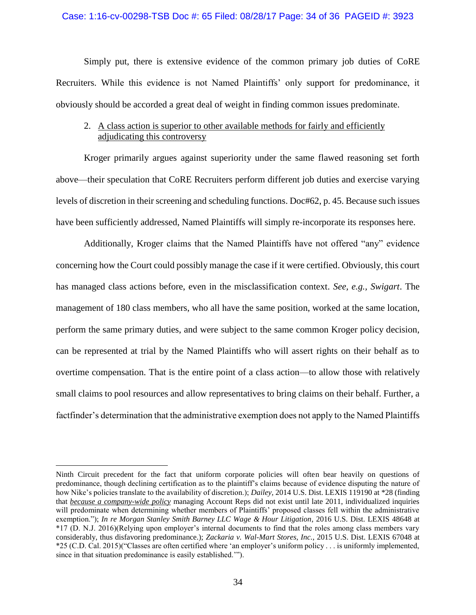### Case: 1:16-cv-00298-TSB Doc #: 65 Filed: 08/28/17 Page: 34 of 36 PAGEID #: 3923

Simply put, there is extensive evidence of the common primary job duties of CoRE Recruiters. While this evidence is not Named Plaintiffs' only support for predominance, it obviously should be accorded a great deal of weight in finding common issues predominate.

## 2. A class action is superior to other available methods for fairly and efficiently adjudicating this controversy

Kroger primarily argues against superiority under the same flawed reasoning set forth above—their speculation that CoRE Recruiters perform different job duties and exercise varying levels of discretion in their screening and scheduling functions. Doc#62, p. 45. Because such issues have been sufficiently addressed, Named Plaintiffs will simply re-incorporate its responses here.

Additionally, Kroger claims that the Named Plaintiffs have not offered "any" evidence concerning how the Court could possibly manage the case if it were certified. Obviously, this court has managed class actions before, even in the misclassification context. *See, e.g., Swigart*. The management of 180 class members, who all have the same position, worked at the same location, perform the same primary duties, and were subject to the same common Kroger policy decision, can be represented at trial by the Named Plaintiffs who will assert rights on their behalf as to overtime compensation. That is the entire point of a class action—to allow those with relatively small claims to pool resources and allow representatives to bring claims on their behalf. Further, a factfinder's determination that the administrative exemption does not apply to the Named Plaintiffs

Ninth Circuit precedent for the fact that uniform corporate policies will often bear heavily on questions of predominance, though declining certification as to the plaintiff's claims because of evidence disputing the nature of how Nike's policies translate to the availability of discretion.); *Dailey,* 2014 U.S. Dist. LEXIS 119190 at \*28 (finding that *because a company-wide policy* managing Account Reps did not exist until late 2011, individualized inquiries will predominate when determining whether members of Plaintiffs' proposed classes fell within the administrative exemption."); *In re Morgan Stanley Smith Barney LLC Wage & Hour Litigation*, 2016 U.S. Dist. LEXIS 48648 at \*17 (D. N.J. 2016)(Relying upon employer's internal documents to find that the roles among class members vary considerably, thus disfavoring predominance.); *Zackaria v. Wal-Mart Stores, Inc.*, 2015 U.S. Dist. LEXIS 67048 at \*25 (C.D. Cal. 2015)("Classes are often certified where 'an employer's uniform policy . . . is uniformly implemented, since in that situation predominance is easily established.'").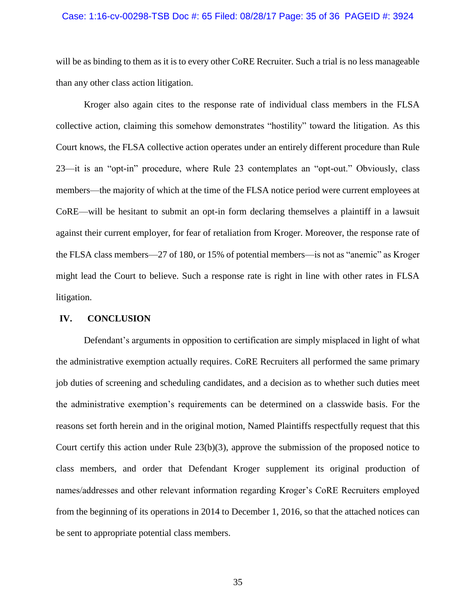### Case: 1:16-cv-00298-TSB Doc #: 65 Filed: 08/28/17 Page: 35 of 36 PAGEID #: 3924

will be as binding to them as it is to every other CoRE Recruiter. Such a trial is no less manageable than any other class action litigation.

Kroger also again cites to the response rate of individual class members in the FLSA collective action, claiming this somehow demonstrates "hostility" toward the litigation. As this Court knows, the FLSA collective action operates under an entirely different procedure than Rule 23—it is an "opt-in" procedure, where Rule 23 contemplates an "opt-out." Obviously, class members—the majority of which at the time of the FLSA notice period were current employees at CoRE—will be hesitant to submit an opt-in form declaring themselves a plaintiff in a lawsuit against their current employer, for fear of retaliation from Kroger. Moreover, the response rate of the FLSA class members—27 of 180, or 15% of potential members—is not as "anemic" as Kroger might lead the Court to believe. Such a response rate is right in line with other rates in FLSA litigation.

## **IV. CONCLUSION**

Defendant's arguments in opposition to certification are simply misplaced in light of what the administrative exemption actually requires. CoRE Recruiters all performed the same primary job duties of screening and scheduling candidates, and a decision as to whether such duties meet the administrative exemption's requirements can be determined on a classwide basis. For the reasons set forth herein and in the original motion, Named Plaintiffs respectfully request that this Court certify this action under Rule 23(b)(3), approve the submission of the proposed notice to class members, and order that Defendant Kroger supplement its original production of names/addresses and other relevant information regarding Kroger's CoRE Recruiters employed from the beginning of its operations in 2014 to December 1, 2016, so that the attached notices can be sent to appropriate potential class members.

35